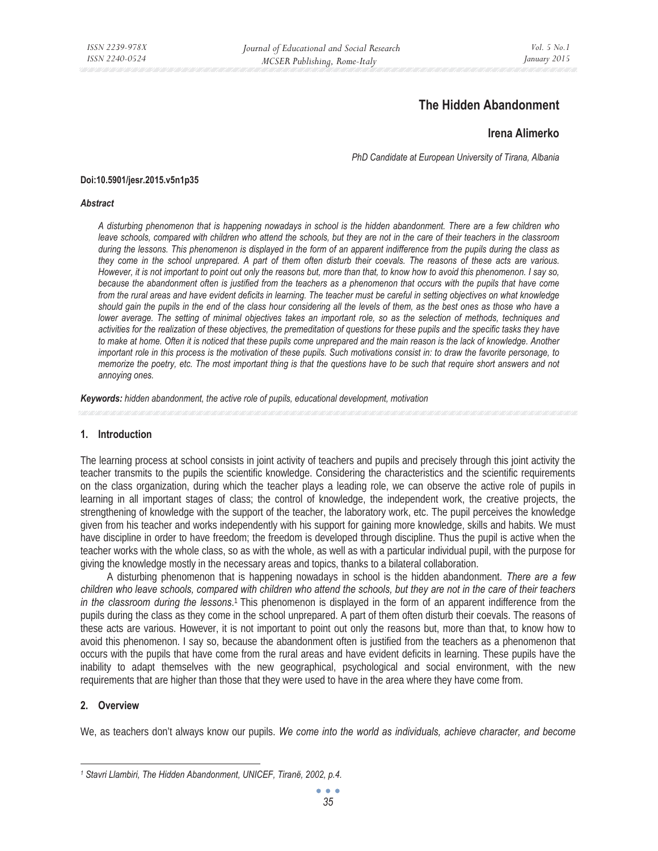# **The Hidden Abandonment**

## **Irena Alimerko**

*PhD Candidate at European University of Tirana, Albania* 

#### **Doi:10.5901/jesr.2015.v5n1p35**

#### *Abstract*

*A disturbing phenomenon that is happening nowadays in school is the hidden abandonment. There are a few children who leave schools, compared with children who attend the schools, but they are not in the care of their teachers in the classroom during the lessons. This phenomenon is displayed in the form of an apparent indifference from the pupils during the class as they come in the school unprepared. A part of them often disturb their coevals. The reasons of these acts are various. However, it is not important to point out only the reasons but, more than that, to know how to avoid this phenomenon. I say so, because the abandonment often is justified from the teachers as a phenomenon that occurs with the pupils that have come from the rural areas and have evident deficits in learning. The teacher must be careful in setting objectives on what knowledge should gain the pupils in the end of the class hour considering all the levels of them, as the best ones as those who have a lower average. The setting of minimal objectives takes an important role, so as the selection of methods, techniques and activities for the realization of these objectives, the premeditation of questions for these pupils and the specific tasks they have*  to make at home. Often it is noticed that these pupils come unprepared and the main reason is the lack of knowledge. Another *important role in this process is the motivation of these pupils. Such motivations consist in: to draw the favorite personage, to memorize the poetry, etc. The most important thing is that the questions have to be such that require short answers and not annoying ones.* 

*Keywords: hidden abandonment, the active role of pupils, educational development, motivation*

### **1. Introduction**

The learning process at school consists in joint activity of teachers and pupils and precisely through this joint activity the teacher transmits to the pupils the scientific knowledge. Considering the characteristics and the scientific requirements on the class organization, during which the teacher plays a leading role, we can observe the active role of pupils in learning in all important stages of class; the control of knowledge, the independent work, the creative projects, the strengthening of knowledge with the support of the teacher, the laboratory work, etc. The pupil perceives the knowledge given from his teacher and works independently with his support for gaining more knowledge, skills and habits. We must have discipline in order to have freedom; the freedom is developed through discipline. Thus the pupil is active when the teacher works with the whole class, so as with the whole, as well as with a particular individual pupil, with the purpose for giving the knowledge mostly in the necessary areas and topics, thanks to a bilateral collaboration.

A disturbing phenomenon that is happening nowadays in school is the hidden abandonment. *There are a few children who leave schools, compared with children who attend the schools, but they are not in the care of their teachers in the classroom during the lessons*. 1 This phenomenon is displayed in the form of an apparent indifference from the pupils during the class as they come in the school unprepared. A part of them often disturb their coevals. The reasons of these acts are various. However, it is not important to point out only the reasons but, more than that, to know how to avoid this phenomenon. I say so, because the abandonment often is justified from the teachers as a phenomenon that occurs with the pupils that have come from the rural areas and have evident deficits in learning. These pupils have the inability to adapt themselves with the new geographical, psychological and social environment, with the new requirements that are higher than those that they were used to have in the area where they have come from.

### **2. Overview**

We, as teachers don't always know our pupils. *We come into the world as individuals, achieve character, and become* 

 *1 Stavri Llambiri, The Hidden Abandonment, UNICEF, Tiranë, 2002, p.4.*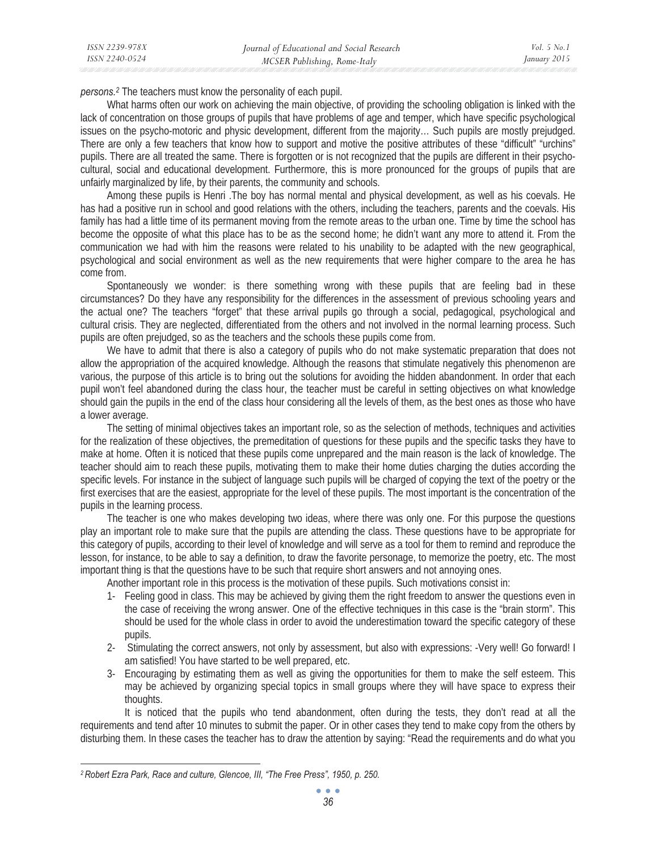*persons.2* The teachers must know the personality of each pupil.

What harms often our work on achieving the main objective, of providing the schooling obligation is linked with the lack of concentration on those groups of pupils that have problems of age and temper, which have specific psychological issues on the psycho-motoric and physic development, different from the majority… Such pupils are mostly prejudged. There are only a few teachers that know how to support and motive the positive attributes of these "difficult" "urchins" pupils. There are all treated the same. There is forgotten or is not recognized that the pupils are different in their psychocultural, social and educational development. Furthermore, this is more pronounced for the groups of pupils that are unfairly marginalized by life, by their parents, the community and schools.

Among these pupils is Henri .The boy has normal mental and physical development, as well as his coevals. He has had a positive run in school and good relations with the others, including the teachers, parents and the coevals. His family has had a little time of its permanent moving from the remote areas to the urban one. Time by time the school has become the opposite of what this place has to be as the second home; he didn't want any more to attend it. From the communication we had with him the reasons were related to his unability to be adapted with the new geographical, psychological and social environment as well as the new requirements that were higher compare to the area he has come from.

Spontaneously we wonder: is there something wrong with these pupils that are feeling bad in these circumstances? Do they have any responsibility for the differences in the assessment of previous schooling years and the actual one? The teachers "forget" that these arrival pupils go through a social, pedagogical, psychological and cultural crisis. They are neglected, differentiated from the others and not involved in the normal learning process. Such pupils are often prejudged, so as the teachers and the schools these pupils come from.

We have to admit that there is also a category of pupils who do not make systematic preparation that does not allow the appropriation of the acquired knowledge. Although the reasons that stimulate negatively this phenomenon are various, the purpose of this article is to bring out the solutions for avoiding the hidden abandonment. In order that each pupil won't feel abandoned during the class hour, the teacher must be careful in setting objectives on what knowledge should gain the pupils in the end of the class hour considering all the levels of them, as the best ones as those who have a lower average.

The setting of minimal objectives takes an important role, so as the selection of methods, techniques and activities for the realization of these objectives, the premeditation of questions for these pupils and the specific tasks they have to make at home. Often it is noticed that these pupils come unprepared and the main reason is the lack of knowledge. The teacher should aim to reach these pupils, motivating them to make their home duties charging the duties according the specific levels. For instance in the subject of language such pupils will be charged of copying the text of the poetry or the first exercises that are the easiest, appropriate for the level of these pupils. The most important is the concentration of the pupils in the learning process.

The teacher is one who makes developing two ideas, where there was only one. For this purpose the questions play an important role to make sure that the pupils are attending the class. These questions have to be appropriate for this category of pupils, according to their level of knowledge and will serve as a tool for them to remind and reproduce the lesson, for instance, to be able to say a definition, to draw the favorite personage, to memorize the poetry, etc. The most important thing is that the questions have to be such that require short answers and not annoying ones.

Another important role in this process is the motivation of these pupils. Such motivations consist in:

- 1- Feeling good in class. This may be achieved by giving them the right freedom to answer the questions even in the case of receiving the wrong answer. One of the effective techniques in this case is the "brain storm". This should be used for the whole class in order to avoid the underestimation toward the specific category of these pupils.
- 2- Stimulating the correct answers, not only by assessment, but also with expressions: -Very well! Go forward! I am satisfied! You have started to be well prepared, etc.
- 3- Encouraging by estimating them as well as giving the opportunities for them to make the self esteem. This may be achieved by organizing special topics in small groups where they will have space to express their thoughts.

 It is noticed that the pupils who tend abandonment, often during the tests, they don't read at all the requirements and tend after 10 minutes to submit the paper. Or in other cases they tend to make copy from the others by disturbing them. In these cases the teacher has to draw the attention by saying: "Read the requirements and do what you

*<sup>2</sup> Robert Ezra Park, Race and culture, Glencoe, III, "The Free Press", 1950, p. 250.*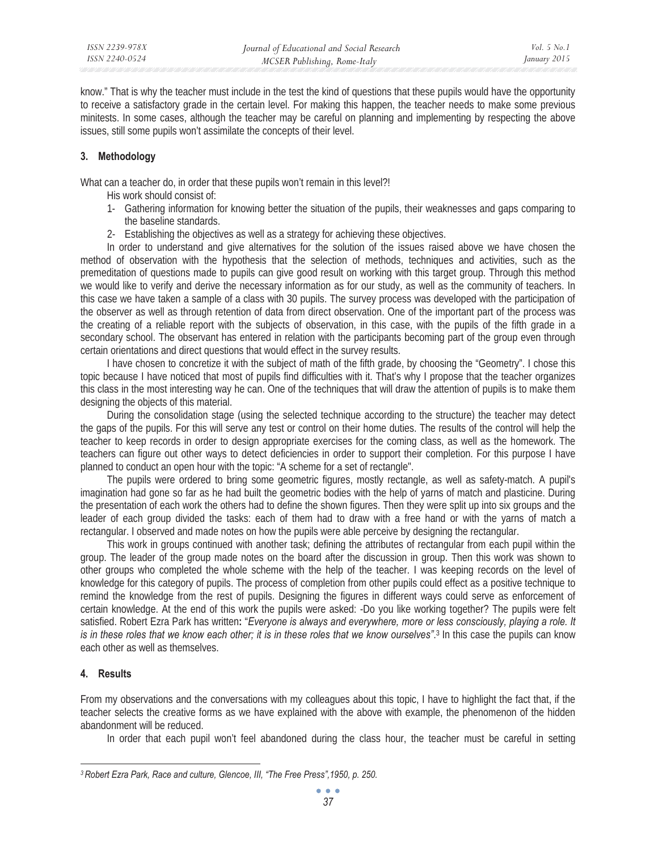know." That is why the teacher must include in the test the kind of questions that these pupils would have the opportunity to receive a satisfactory grade in the certain level. For making this happen, the teacher needs to make some previous minitests. In some cases, although the teacher may be careful on planning and implementing by respecting the above issues, still some pupils won't assimilate the concepts of their level.

## **3. Methodology**

What can a teacher do, in order that these pupils won't remain in this level?!

- His work should consist of:
- 1- Gathering information for knowing better the situation of the pupils, their weaknesses and gaps comparing to the baseline standards.
- 2- Establishing the objectives as well as a strategy for achieving these objectives.

In order to understand and give alternatives for the solution of the issues raised above we have chosen the method of observation with the hypothesis that the selection of methods, techniques and activities, such as the premeditation of questions made to pupils can give good result on working with this target group. Through this method we would like to verify and derive the necessary information as for our study, as well as the community of teachers. In this case we have taken a sample of a class with 30 pupils. The survey process was developed with the participation of the observer as well as through retention of data from direct observation. One of the important part of the process was the creating of a reliable report with the subjects of observation, in this case, with the pupils of the fifth grade in a secondary school. The observant has entered in relation with the participants becoming part of the group even through certain orientations and direct questions that would effect in the survey results.

I have chosen to concretize it with the subject of math of the fifth grade, by choosing the "Geometry". I chose this topic because I have noticed that most of pupils find difficulties with it. That's why I propose that the teacher organizes this class in the most interesting way he can. One of the techniques that will draw the attention of pupils is to make them designing the objects of this material.

During the consolidation stage (using the selected technique according to the structure) the teacher may detect the gaps of the pupils. For this will serve any test or control on their home duties. The results of the control will help the teacher to keep records in order to design appropriate exercises for the coming class, as well as the homework. The teachers can figure out other ways to detect deficiencies in order to support their completion. For this purpose I have planned to conduct an open hour with the topic: "A scheme for a set of rectangle".

The pupils were ordered to bring some geometric figures, mostly rectangle, as well as safety-match. A pupil's imagination had gone so far as he had built the geometric bodies with the help of yarns of match and plasticine. During the presentation of each work the others had to define the shown figures. Then they were split up into six groups and the leader of each group divided the tasks: each of them had to draw with a free hand or with the yarns of match a rectangular. I observed and made notes on how the pupils were able perceive by designing the rectangular.

This work in groups continued with another task; defining the attributes of rectangular from each pupil within the group. The leader of the group made notes on the board after the discussion in group. Then this work was shown to other groups who completed the whole scheme with the help of the teacher. I was keeping records on the level of knowledge for this category of pupils. The process of completion from other pupils could effect as a positive technique to remind the knowledge from the rest of pupils. Designing the figures in different ways could serve as enforcement of certain knowledge. At the end of this work the pupils were asked: -Do you like working together? The pupils were felt satisfied. Robert Ezra Park has written**:** "*Everyone is always and everywhere, more or less consciously, playing a role. It is in these roles that we know each other; it is in these roles that we know ourselves"*. 3 In this case the pupils can know each other as well as themselves.

## **4. Results**

From my observations and the conversations with my colleagues about this topic, I have to highlight the fact that, if the teacher selects the creative forms as we have explained with the above with example, the phenomenon of the hidden abandonment will be reduced.

In order that each pupil won't feel abandoned during the class hour, the teacher must be careful in setting

*<sup>3</sup> Robert Ezra Park, Race and culture, Glencoe, III, "The Free Press",1950, p. 250.*